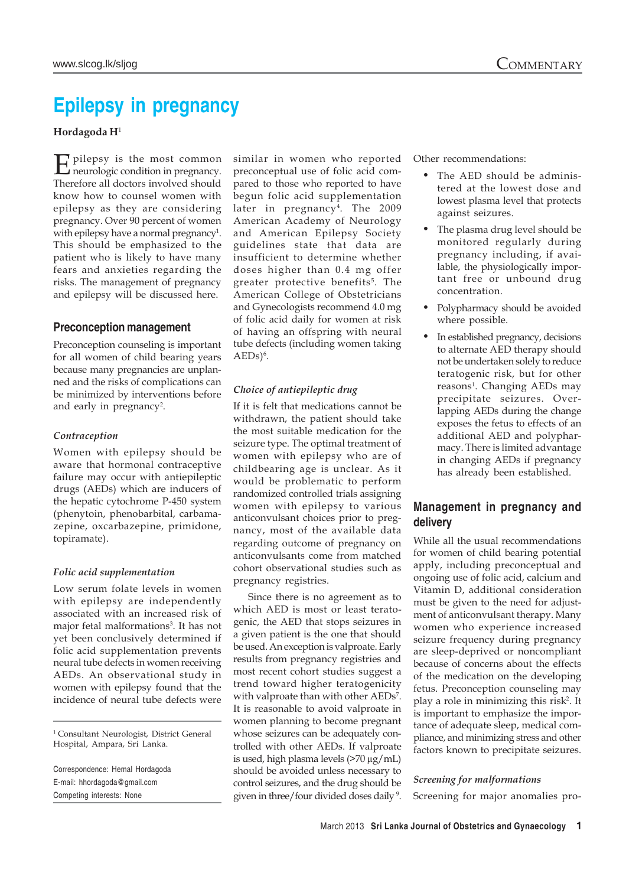# **Epilepsy in pregnancy**

# **Hordagoda H**<sup>1</sup>

 $\prod_{\text{numerical}}$  is the most common neurologic condition in pregnancy. Therefore all doctors involved should know how to counsel women with epilepsy as they are considering pregnancy. Over 90 percent of women with epilepsy have a normal pregnancy<sup>1</sup>. This should be emphasized to the patient who is likely to have many fears and anxieties regarding the risks. The management of pregnancy and epilepsy will be discussed here.

# **Preconception management**

Preconception counseling is important for all women of child bearing years because many pregnancies are unplanned and the risks of complications can be minimized by interventions before and early in pregnancy<sup>2</sup>.

## *Contraception*

Women with epilepsy should be aware that hormonal contraceptive failure may occur with antiepileptic drugs (AEDs) which are inducers of the hepatic cytochrome P-450 system (phenytoin, phenobarbital, carbamazepine, oxcarbazepine, primidone, topiramate).

#### *Folic acid supplementation*

Low serum folate levels in women with epilepsy are independently associated with an increased risk of major fetal malformations<sup>3</sup>. It has not yet been conclusively determined if folic acid supplementation prevents neural tube defects in women receiving AEDs. An observational study in women with epilepsy found that the incidence of neural tube defects were

similar in women who reported preconceptual use of folic acid compared to those who reported to have begun folic acid supplementation later in pregnancy4 . The 2009 American Academy of Neurology and American Epilepsy Society guidelines state that data are insufficient to determine whether doses higher than 0.4 mg offer greater protective benefits<sup>5</sup>. The American College of Obstetricians and Gynecologists recommend 4.0 mg of folic acid daily for women at risk of having an offspring with neural tube defects (including women taking  $AEDs$ <sup>6</sup>.

# *Choice of antiepileptic drug*

If it is felt that medications cannot be withdrawn, the patient should take the most suitable medication for the seizure type. The optimal treatment of women with epilepsy who are of childbearing age is unclear. As it would be problematic to perform randomized controlled trials assigning women with epilepsy to various anticonvulsant choices prior to pregnancy, most of the available data regarding outcome of pregnancy on anticonvulsants come from matched cohort observational studies such as pregnancy registries.

Since there is no agreement as to which AED is most or least teratogenic, the AED that stops seizures in a given patient is the one that should be used. An exception is valproate. Early results from pregnancy registries and most recent cohort studies suggest a trend toward higher teratogenicity with valproate than with other AEDs<sup>7</sup>. It is reasonable to avoid valproate in women planning to become pregnant whose seizures can be adequately controlled with other AEDs. If valproate is used, high plasma levels (>70 μg/mL) should be avoided unless necessary to control seizures, and the drug should be given in three/four divided doses daily<sup>9</sup>.

Other recommendations:

- The AED should be administered at the lowest dose and lowest plasma level that protects against seizures.
- The plasma drug level should be monitored regularly during pregnancy including, if available, the physiologically important free or unbound drug concentration.
- Polypharmacy should be avoided where possible.
- In established pregnancy, decisions to alternate AED therapy should not be undertaken solely to reduce teratogenic risk, but for other reasons<sup>1</sup>. Changing AEDs may precipitate seizures. Overlapping AEDs during the change exposes the fetus to effects of an additional AED and polypharmacy. There is limited advantage in changing AEDs if pregnancy has already been established.

# **Management in pregnancy and delivery**

While all the usual recommendations for women of child bearing potential apply, including preconceptual and ongoing use of folic acid, calcium and Vitamin D, additional consideration must be given to the need for adjustment of anticonvulsant therapy. Many women who experience increased seizure frequency during pregnancy are sleep-deprived or noncompliant because of concerns about the effects of the medication on the developing fetus. Preconception counseling may play a role in minimizing this risk<sup>2</sup>. It is important to emphasize the importance of adequate sleep, medical compliance, and minimizing stress and other factors known to precipitate seizures.

#### *Screening for malformations*

Screening for major anomalies pro-

<sup>&</sup>lt;sup>1</sup> Consultant Neurologist, District General Hospital, Ampara, Sri Lanka.

Correspondence: Hemal Hordagoda E-mail: hhordagoda@gmail.com Competing interests: None